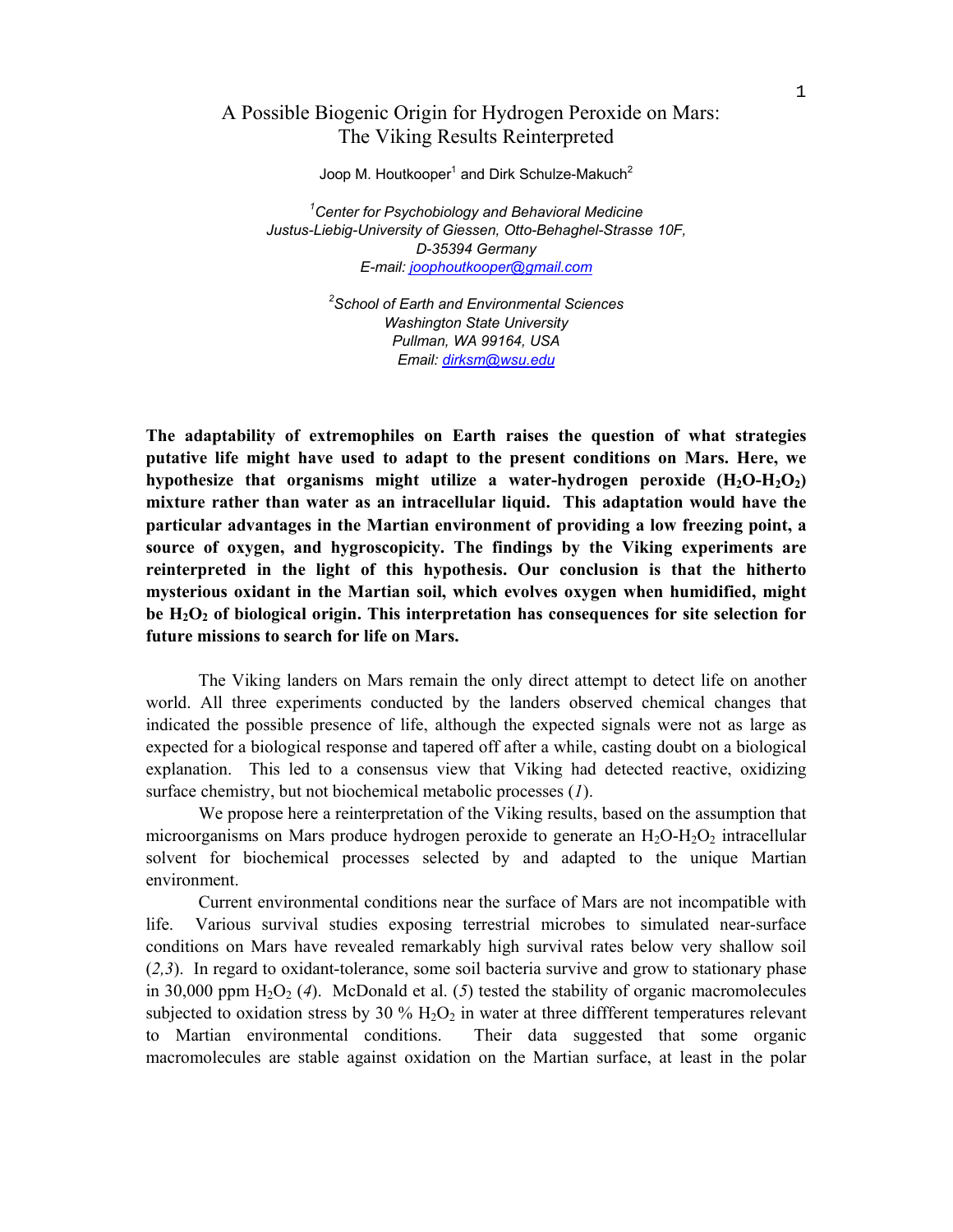## A Possible Biogenic Origin for Hydrogen Peroxide on Mars: The Viking Results Reinterpreted

Joop M. Houtkooper<sup>1</sup> and Dirk Schulze-Makuch<sup>2</sup>

*1 Center for Psychobiology and Behavioral Medicine Justus-Liebig-University of Giessen, Otto-Behaghel-Strasse 10F, D-35394 Germany E-mail: joophoutkooper@gmail.com*

> *2 School of Earth and Environmental Sciences Washington State University Pullman, WA 99164, USA Email: dirksm@wsu.edu*

**The adaptability of extremophiles on Earth raises the question of what strategies putative life might have used to adapt to the present conditions on Mars. Here, we hypothesize that organisms might utilize a water-hydrogen peroxide (H2O-H2O2) mixture rather than water as an intracellular liquid. This adaptation would have the particular advantages in the Martian environment of providing a low freezing point, a source of oxygen, and hygroscopicity. The findings by the Viking experiments are reinterpreted in the light of this hypothesis. Our conclusion is that the hitherto mysterious oxidant in the Martian soil, which evolves oxygen when humidified, might**  be H<sub>2</sub>O<sub>2</sub> of biological origin. This interpretation has consequences for site selection for **future missions to search for life on Mars.** 

 The Viking landers on Mars remain the only direct attempt to detect life on another world. All three experiments conducted by the landers observed chemical changes that indicated the possible presence of life, although the expected signals were not as large as expected for a biological response and tapered off after a while, casting doubt on a biological explanation. This led to a consensus view that Viking had detected reactive, oxidizing surface chemistry, but not biochemical metabolic processes (*1*).

 We propose here a reinterpretation of the Viking results, based on the assumption that microorganisms on Mars produce hydrogen peroxide to generate an  $H_2O-H_2O_2$  intracellular solvent for biochemical processes selected by and adapted to the unique Martian environment.

 Current environmental conditions near the surface of Mars are not incompatible with life. Various survival studies exposing terrestrial microbes to simulated near-surface conditions on Mars have revealed remarkably high survival rates below very shallow soil (*2,3*). In regard to oxidant-tolerance, some soil bacteria survive and grow to stationary phase in 30,000 ppm  $H_2O_2$  (4). McDonald et al. (5) tested the stability of organic macromolecules subjected to oxidation stress by 30 %  $H_2O_2$  in water at three different temperatures relevant to Martian environmental conditions. Their data suggested that some organic macromolecules are stable against oxidation on the Martian surface, at least in the polar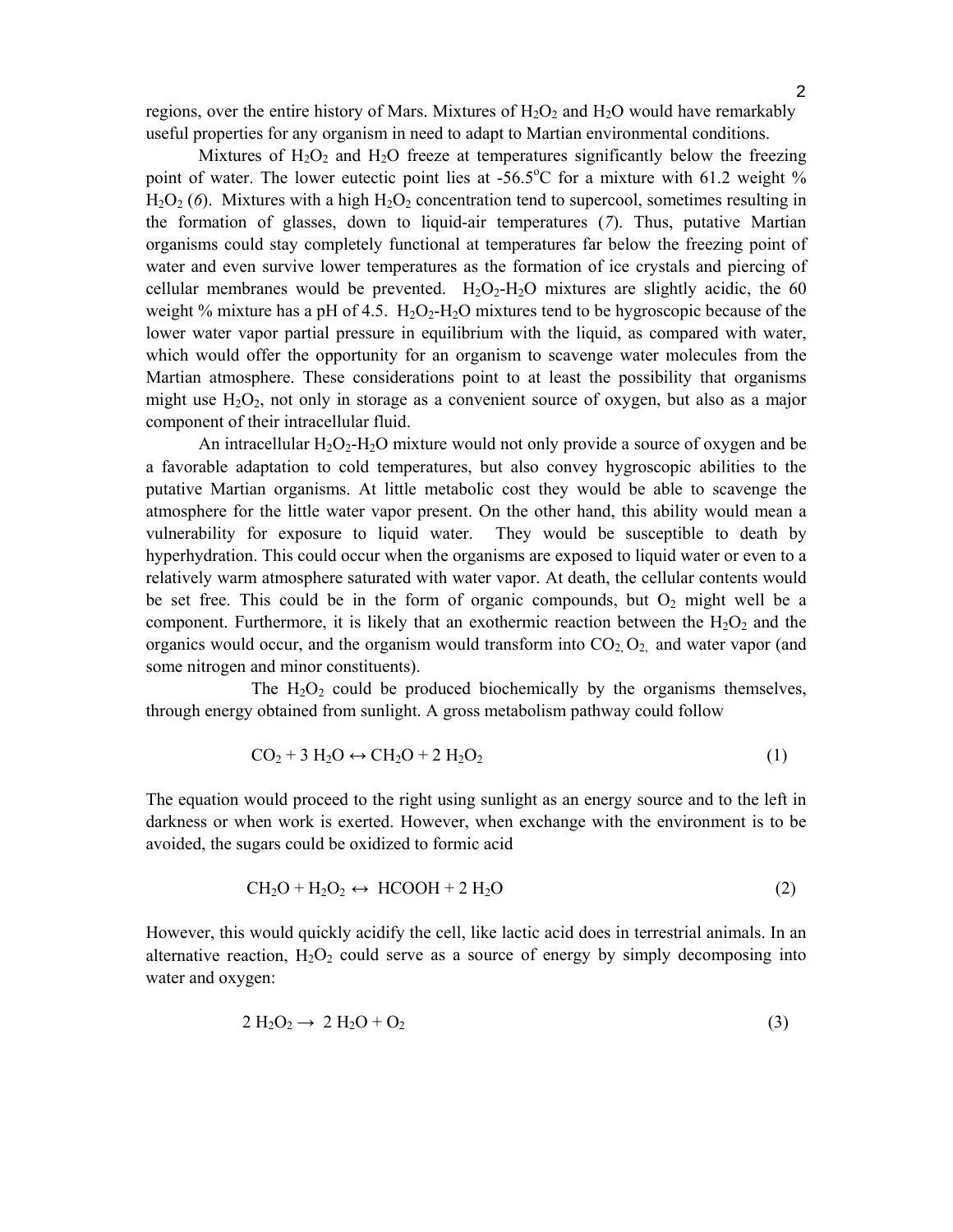regions, over the entire history of Mars. Mixtures of  $H_2O_2$  and  $H_2O$  would have remarkably useful properties for any organism in need to adapt to Martian environmental conditions.

Mixtures of  $H_2O_2$  and  $H_2O$  freeze at temperatures significantly below the freezing point of water. The lower eutectic point lies at -56.5°C for a mixture with 61.2 weight %  $H_2O_2$  (6). Mixtures with a high  $H_2O_2$  concentration tend to supercool, sometimes resulting in the formation of glasses, down to liquid-air temperatures (*7*). Thus, putative Martian organisms could stay completely functional at temperatures far below the freezing point of water and even survive lower temperatures as the formation of ice crystals and piercing of cellular membranes would be prevented.  $H_2O_2-H_2O$  mixtures are slightly acidic, the 60 weight % mixture has a pH of 4.5.  $H_2O_2-H_2O$  mixtures tend to be hygroscopic because of the lower water vapor partial pressure in equilibrium with the liquid, as compared with water, which would offer the opportunity for an organism to scavenge water molecules from the Martian atmosphere. These considerations point to at least the possibility that organisms might use  $H_2O_2$ , not only in storage as a convenient source of oxygen, but also as a major component of their intracellular fluid.

An intracellular  $H_2O_2-H_2O$  mixture would not only provide a source of oxygen and be a favorable adaptation to cold temperatures, but also convey hygroscopic abilities to the putative Martian organisms. At little metabolic cost they would be able to scavenge the atmosphere for the little water vapor present. On the other hand, this ability would mean a vulnerability for exposure to liquid water. They would be susceptible to death by hyperhydration. This could occur when the organisms are exposed to liquid water or even to a relatively warm atmosphere saturated with water vapor. At death, the cellular contents would be set free. This could be in the form of organic compounds, but  $O_2$  might well be a component. Furthermore, it is likely that an exothermic reaction between the  $H_2O_2$  and the organics would occur, and the organism would transform into  $CO<sub>2</sub>, O<sub>2</sub>$  and water vapor (and some nitrogen and minor constituents).

The  $H_2O_2$  could be produced biochemically by the organisms themselves, through energy obtained from sunlight. A gross metabolism pathway could follow

$$
CO2 + 3 H2O \leftrightarrow CH2O + 2 H2O2
$$
 (1)

The equation would proceed to the right using sunlight as an energy source and to the left in darkness or when work is exerted. However, when exchange with the environment is to be avoided, the sugars could be oxidized to formic acid

$$
CH2O + H2O2 \leftrightarrow HCOOH + 2 H2O
$$
 (2)

However, this would quickly acidify the cell, like lactic acid does in terrestrial animals. In an alternative reaction,  $H_2O_2$  could serve as a source of energy by simply decomposing into water and oxygen:

$$
2 H_2O_2 \rightarrow 2 H_2O + O_2 \tag{3}
$$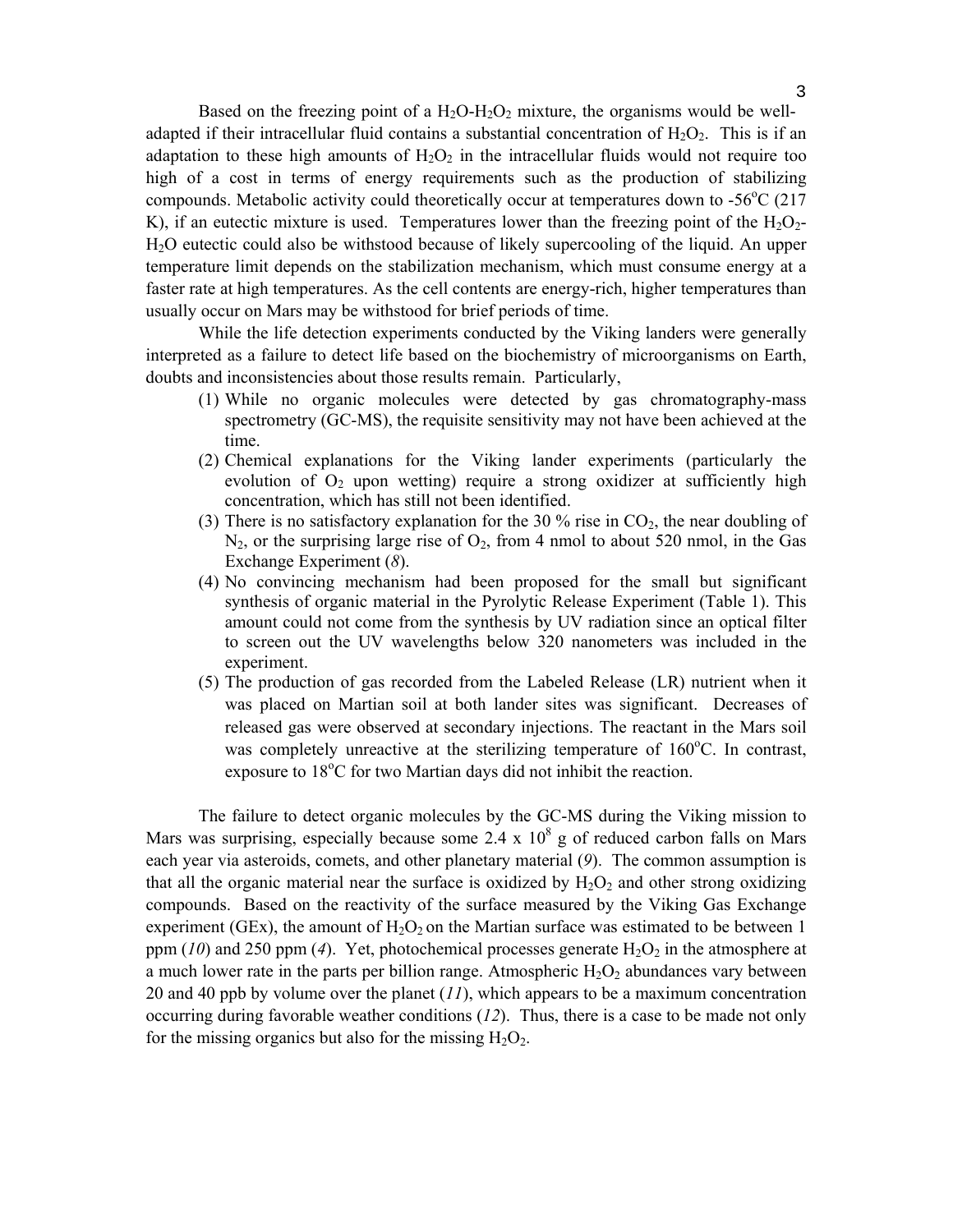Based on the freezing point of a  $H_2O-H_2O_2$  mixture, the organisms would be welladapted if their intracellular fluid contains a substantial concentration of  $H_2O_2$ . This is if an adaptation to these high amounts of  $H_2O_2$  in the intracellular fluids would not require too high of a cost in terms of energy requirements such as the production of stabilizing compounds. Metabolic activity could theoretically occur at temperatures down to -56°C (217 K), if an eutectic mixture is used. Temperatures lower than the freezing point of the  $H_2O_2$ -H2O eutectic could also be withstood because of likely supercooling of the liquid. An upper temperature limit depends on the stabilization mechanism, which must consume energy at a faster rate at high temperatures. As the cell contents are energy-rich, higher temperatures than usually occur on Mars may be withstood for brief periods of time.

 While the life detection experiments conducted by the Viking landers were generally interpreted as a failure to detect life based on the biochemistry of microorganisms on Earth, doubts and inconsistencies about those results remain. Particularly,

- (1) While no organic molecules were detected by gas chromatography-mass spectrometry (GC-MS), the requisite sensitivity may not have been achieved at the time.
- (2) Chemical explanations for the Viking lander experiments (particularly the evolution of  $O_2$  upon wetting) require a strong oxidizer at sufficiently high concentration, which has still not been identified.
- (3) There is no satisfactory explanation for the 30 % rise in  $CO<sub>2</sub>$ , the near doubling of  $N_2$ , or the surprising large rise of  $O_2$ , from 4 nmol to about 520 nmol, in the Gas Exchange Experiment (*8*).
- (4) No convincing mechanism had been proposed for the small but significant synthesis of organic material in the Pyrolytic Release Experiment (Table 1). This amount could not come from the synthesis by UV radiation since an optical filter to screen out the UV wavelengths below 320 nanometers was included in the experiment.
- (5) The production of gas recorded from the Labeled Release (LR) nutrient when it was placed on Martian soil at both lander sites was significant. Decreases of released gas were observed at secondary injections. The reactant in the Mars soil was completely unreactive at the sterilizing temperature of  $160^{\circ}$ C. In contrast, exposure to 18°C for two Martian days did not inhibit the reaction.

 The failure to detect organic molecules by the GC-MS during the Viking mission to Mars was surprising, especially because some 2.4 x  $10^8$  g of reduced carbon falls on Mars each year via asteroids, comets, and other planetary material (*9*). The common assumption is that all the organic material near the surface is oxidized by  $H_2O_2$  and other strong oxidizing compounds. Based on the reactivity of the surface measured by the Viking Gas Exchange experiment (GEx), the amount of  $H_2O_2$  on the Martian surface was estimated to be between 1 ppm  $(10)$  and 250 ppm  $(4)$ . Yet, photochemical processes generate  $H_2O_2$  in the atmosphere at a much lower rate in the parts per billion range. Atmospheric  $H_2O_2$  abundances vary between 20 and 40 ppb by volume over the planet (*11*), which appears to be a maximum concentration occurring during favorable weather conditions (*12*). Thus, there is a case to be made not only for the missing organics but also for the missing  $H_2O_2$ .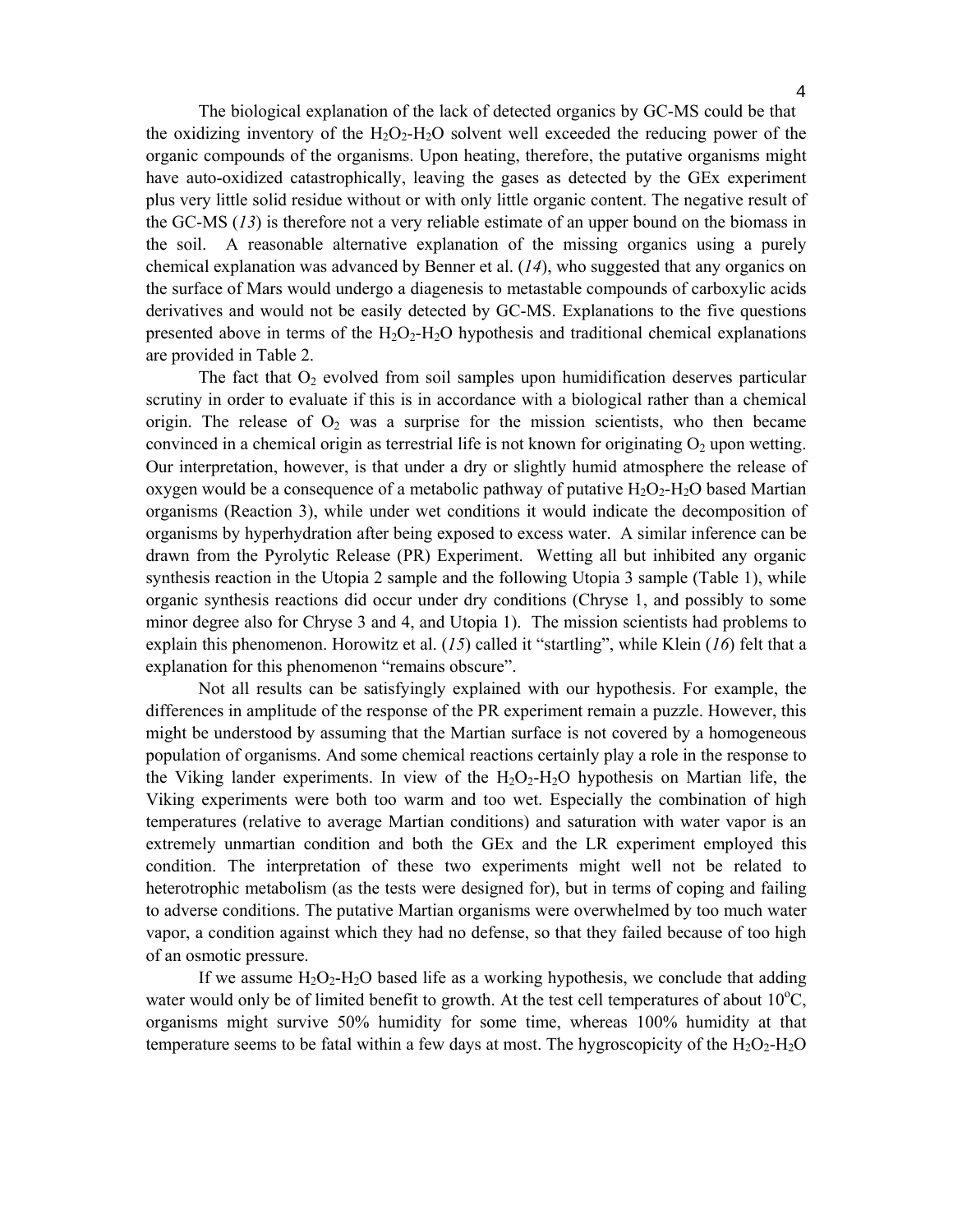The biological explanation of the lack of detected organics by GC-MS could be that the oxidizing inventory of the  $H_2O_2-H_2O$  solvent well exceeded the reducing power of the organic compounds of the organisms. Upon heating, therefore, the putative organisms might have auto-oxidized catastrophically, leaving the gases as detected by the GEx experiment plus very little solid residue without or with only little organic content. The negative result of the GC-MS (*13*) is therefore not a very reliable estimate of an upper bound on the biomass in the soil. A reasonable alternative explanation of the missing organics using a purely chemical explanation was advanced by Benner et al. (*14*), who suggested that any organics on

the surface of Mars would undergo a diagenesis to metastable compounds of carboxylic acids derivatives and would not be easily detected by GC-MS. Explanations to the five questions presented above in terms of the  $H_2O_2-H_2O$  hypothesis and traditional chemical explanations are provided in Table 2.

The fact that  $O_2$  evolved from soil samples upon humidification deserves particular scrutiny in order to evaluate if this is in accordance with a biological rather than a chemical origin. The release of  $O_2$  was a surprise for the mission scientists, who then became convinced in a chemical origin as terrestrial life is not known for originating  $O_2$  upon wetting. Our interpretation, however, is that under a dry or slightly humid atmosphere the release of oxygen would be a consequence of a metabolic pathway of putative  $H_2O_2-H_2O$  based Martian organisms (Reaction 3), while under wet conditions it would indicate the decomposition of organisms by hyperhydration after being exposed to excess water. A similar inference can be drawn from the Pyrolytic Release (PR) Experiment. Wetting all but inhibited any organic synthesis reaction in the Utopia 2 sample and the following Utopia 3 sample (Table 1), while organic synthesis reactions did occur under dry conditions (Chryse 1, and possibly to some minor degree also for Chryse 3 and 4, and Utopia 1). The mission scientists had problems to explain this phenomenon. Horowitz et al. (*15*) called it "startling", while Klein (*16*) felt that a explanation for this phenomenon "remains obscure".

 Not all results can be satisfyingly explained with our hypothesis. For example, the differences in amplitude of the response of the PR experiment remain a puzzle. However, this might be understood by assuming that the Martian surface is not covered by a homogeneous population of organisms. And some chemical reactions certainly play a role in the response to the Viking lander experiments. In view of the  $H_2O_2-H_2O$  hypothesis on Martian life, the Viking experiments were both too warm and too wet. Especially the combination of high temperatures (relative to average Martian conditions) and saturation with water vapor is an extremely unmartian condition and both the GEx and the LR experiment employed this condition. The interpretation of these two experiments might well not be related to heterotrophic metabolism (as the tests were designed for), but in terms of coping and failing to adverse conditions. The putative Martian organisms were overwhelmed by too much water vapor, a condition against which they had no defense, so that they failed because of too high of an osmotic pressure.

If we assume  $H_2O_2-H_2O$  based life as a working hypothesis, we conclude that adding water would only be of limited benefit to growth. At the test cell temperatures of about  $10^{\circ}$ C, organisms might survive 50% humidity for some time, whereas 100% humidity at that temperature seems to be fatal within a few days at most. The hygroscopicity of the  $H_2O_2-H_2O$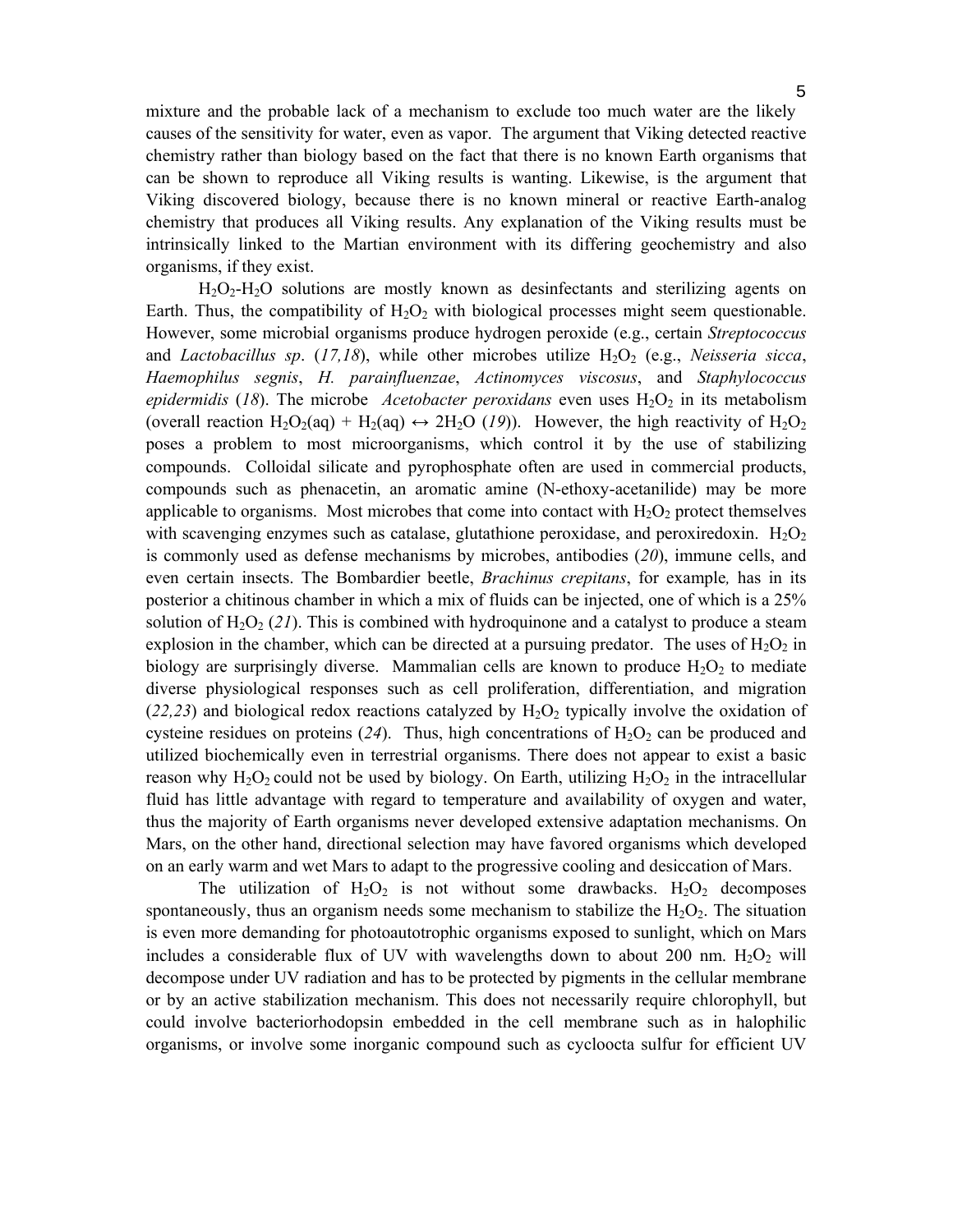mixture and the probable lack of a mechanism to exclude too much water are the likely causes of the sensitivity for water, even as vapor. The argument that Viking detected reactive chemistry rather than biology based on the fact that there is no known Earth organisms that can be shown to reproduce all Viking results is wanting. Likewise, is the argument that Viking discovered biology, because there is no known mineral or reactive Earth-analog chemistry that produces all Viking results. Any explanation of the Viking results must be intrinsically linked to the Martian environment with its differing geochemistry and also organisms, if they exist.

H2O2-H2O solutions are mostly known as desinfectants and sterilizing agents on Earth. Thus, the compatibility of  $H_2O_2$  with biological processes might seem questionable. However, some microbial organisms produce hydrogen peroxide (e.g., certain *Streptococcus* and *Lactobacillus sp.* (17,18), while other microbes utilize  $H_2O_2$  (e.g., *Neisseria sicca*, *Haemophilus segnis*, *H. parainfluenzae*, *Actinomyces viscosus*, and *Staphylococcus epidermidis* (18). The microbe *Acetobacter peroxidans* even uses  $H_2O_2$  in its metabolism (overall reaction H<sub>2</sub>O<sub>2</sub>(aq) + H<sub>2</sub>(aq)  $\leftrightarrow$  2H<sub>2</sub>O (19)). However, the high reactivity of H<sub>2</sub>O<sub>2</sub> poses a problem to most microorganisms, which control it by the use of stabilizing compounds. Colloidal silicate and pyrophosphate often are used in commercial products, compounds such as phenacetin, an aromatic amine (N-ethoxy-acetanilide) may be more applicable to organisms. Most microbes that come into contact with  $H_2O_2$  protect themselves with scavenging enzymes such as catalase, glutathione peroxidase, and peroxiredoxin.  $H_2O_2$ is commonly used as defense mechanisms by microbes, antibodies (*20*), immune cells, and even certain insects. The Bombardier beetle, *Brachinus crepitans*, for example*,* has in its posterior a chitinous chamber in which a mix of fluids can be injected, one of which is a 25% solution of  $H_2O_2$  (21). This is combined with hydroquinone and a catalyst to produce a steam explosion in the chamber, which can be directed at a pursuing predator. The uses of  $H_2O_2$  in biology are surprisingly diverse. Mammalian cells are known to produce  $H_2O_2$  to mediate diverse physiological responses such as cell proliferation, differentiation, and migration  $(22,23)$  and biological redox reactions catalyzed by  $H_2O_2$  typically involve the oxidation of cysteine residues on proteins  $(24)$ . Thus, high concentrations of  $H_2O_2$  can be produced and utilized biochemically even in terrestrial organisms. There does not appear to exist a basic reason why  $H_2O_2$  could not be used by biology. On Earth, utilizing  $H_2O_2$  in the intracellular fluid has little advantage with regard to temperature and availability of oxygen and water, thus the majority of Earth organisms never developed extensive adaptation mechanisms. On Mars, on the other hand, directional selection may have favored organisms which developed on an early warm and wet Mars to adapt to the progressive cooling and desiccation of Mars.

The utilization of  $H_2O_2$  is not without some drawbacks.  $H_2O_2$  decomposes spontaneously, thus an organism needs some mechanism to stabilize the  $H_2O_2$ . The situation is even more demanding for photoautotrophic organisms exposed to sunlight, which on Mars includes a considerable flux of UV with wavelengths down to about 200 nm.  $H_2O_2$  will decompose under UV radiation and has to be protected by pigments in the cellular membrane or by an active stabilization mechanism. This does not necessarily require chlorophyll, but could involve bacteriorhodopsin embedded in the cell membrane such as in halophilic organisms, or involve some inorganic compound such as cycloocta sulfur for efficient UV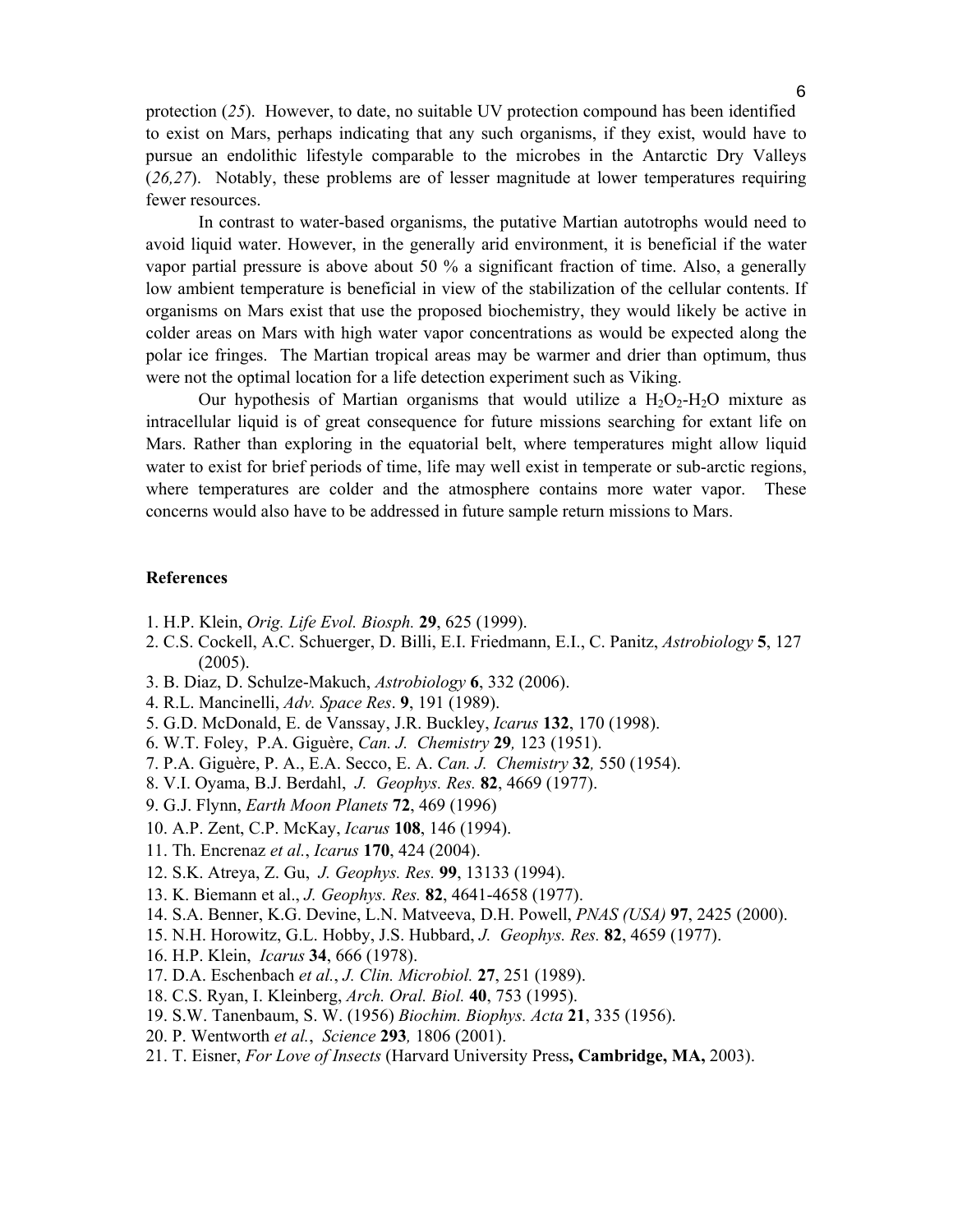protection (*25*). However, to date, no suitable UV protection compound has been identified to exist on Mars, perhaps indicating that any such organisms, if they exist, would have to pursue an endolithic lifestyle comparable to the microbes in the Antarctic Dry Valleys (*26,27*). Notably, these problems are of lesser magnitude at lower temperatures requiring fewer resources.

 In contrast to water-based organisms, the putative Martian autotrophs would need to avoid liquid water. However, in the generally arid environment, it is beneficial if the water vapor partial pressure is above about 50 % a significant fraction of time. Also, a generally low ambient temperature is beneficial in view of the stabilization of the cellular contents. If organisms on Mars exist that use the proposed biochemistry, they would likely be active in colder areas on Mars with high water vapor concentrations as would be expected along the polar ice fringes. The Martian tropical areas may be warmer and drier than optimum, thus were not the optimal location for a life detection experiment such as Viking.

Our hypothesis of Martian organisms that would utilize a  $H_2O_2-H_2O$  mixture as intracellular liquid is of great consequence for future missions searching for extant life on Mars. Rather than exploring in the equatorial belt, where temperatures might allow liquid water to exist for brief periods of time, life may well exist in temperate or sub-arctic regions, where temperatures are colder and the atmosphere contains more water vapor. These concerns would also have to be addressed in future sample return missions to Mars.

## **References**

- 1. H.P. Klein, *Orig. Life Evol. Biosph.* **29**, 625 (1999).
- 2. C.S. Cockell, A.C. Schuerger, D. Billi, E.I. Friedmann, E.I., C. Panitz, *Astrobiology* **5**, 127 (2005).
- 3. B. Diaz, D. Schulze-Makuch, *Astrobiology* **6**, 332 (2006).
- 4. R.L. Mancinelli, *Adv. Space Res*. **9**, 191 (1989).
- 5. G.D. McDonald, E. de Vanssay, J.R. Buckley, *Icarus* **132**, 170 (1998).
- 6. W.T. Foley, P.A. Giguère, *Can. J. Chemistry* **29***,* 123 (1951).
- 7. P.A. Giguère, P. A., E.A. Secco, E. A. *Can. J. Chemistry* **32***,* 550 (1954).
- 8. V.I. Oyama, B.J. Berdahl, *J. Geophys. Res.* **82**, 4669 (1977).
- 9. G.J. Flynn, *Earth Moon Planets* **72**, 469 (1996)
- 10. A.P. Zent, C.P. McKay, *Icarus* **108**, 146 (1994).
- 11. Th. Encrenaz *et al.*, *Icarus* **170**, 424 (2004).
- 12. S.K. Atreya, Z. Gu, *J. Geophys. Res.* **99**, 13133 (1994).
- 13. K. Biemann et al., *J. Geophys. Res.* **82**, 4641-4658 (1977).
- 14. S.A. Benner, K.G. Devine, L.N. Matveeva, D.H. Powell, *PNAS (USA)* **97**, 2425 (2000).
- 15. N.H. Horowitz, G.L. Hobby, J.S. Hubbard, *J. Geophys. Res.* **82**, 4659 (1977).
- 16. H.P. Klein, *Icarus* **34**, 666 (1978).
- 17. D.A. Eschenbach *et al.*, *J. Clin. Microbiol.* **27**, 251 (1989).
- 18. C.S. Ryan, I. Kleinberg, *Arch. Oral. Biol.* **40**, 753 (1995).
- 19. S.W. Tanenbaum, S. W. (1956) *Biochim. Biophys. Acta* **21**, 335 (1956).
- 20. P. Wentworth *et al.*, *Science* **293***,* 1806 (2001).
- 21. T. Eisner, *For Love of Insects* (Harvard University Press**, Cambridge, MA,** 2003).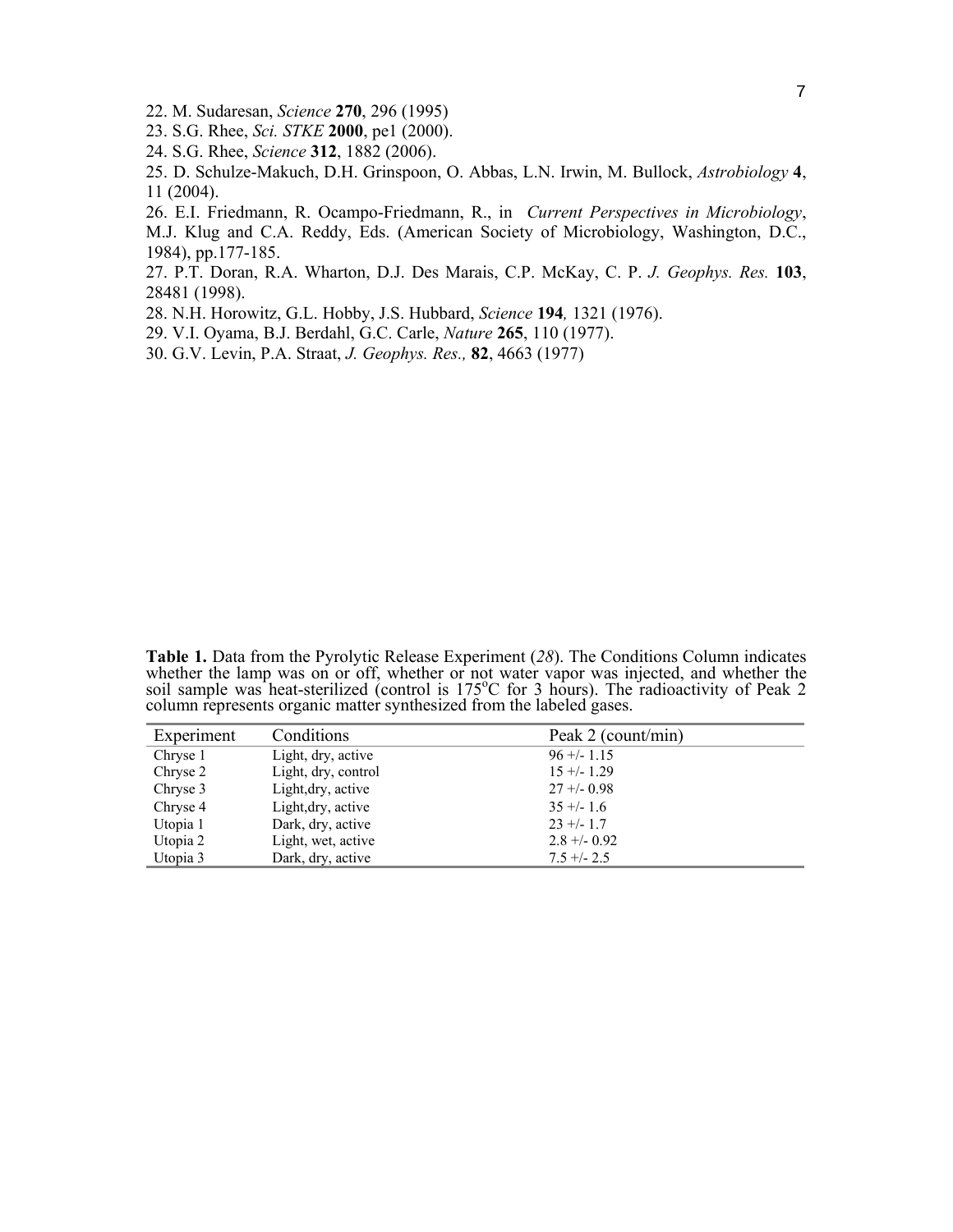- 22. M. Sudaresan, *Science* **270**, 296 (1995)
- 23. S.G. Rhee, *Sci. STKE* **2000**, pe1 (2000).
- 24. S.G. Rhee, *Science* **312**, 1882 (2006).
- 25. D. Schulze-Makuch, D.H. Grinspoon, O. Abbas, L.N. Irwin, M. Bullock, *Astrobiology* **4**, 11 (2004).

26. E.I. Friedmann, R. Ocampo-Friedmann, R., in *Current Perspectives in Microbiology*,

M.J. Klug and C.A. Reddy, Eds. (American Society of Microbiology, Washington, D.C., 1984), pp.177-185.

27. P.T. Doran, R.A. Wharton, D.J. Des Marais, C.P. McKay, C. P. *J. Geophys. Res.* **103**, 28481 (1998).

28. N.H. Horowitz, G.L. Hobby, J.S. Hubbard, *Science* **194***,* 1321 (1976).

- 29. V.I. Oyama, B.J. Berdahl, G.C. Carle, *Nature* **265**, 110 (1977).
- 30. G.V. Levin, P.A. Straat, *J. Geophys. Res.,* **82**, 4663 (1977)

**Table 1.** Data from the Pyrolytic Release Experiment (*28*). The Conditions Column indicates whether the lamp was on or off, whether or not water vapor was injected, and whether the soil sample was heat-sterilized (control is 175<sup>o</sup>C for 3 hours). The radioactivity of Peak 2 column represents organic matter synthesized from the labeled gases.

| Experiment | Conditions          | Peak 2 (count/min) |
|------------|---------------------|--------------------|
| Chryse 1   | Light, dry, active  | $96 + (-1.15)$     |
| Chryse 2   | Light, dry, control | $15 + (-1.29)$     |
| Chryse 3   | Light, dry, active  | $27 + -0.98$       |
| Chryse 4   | Light, dry, active  | $35 + (-1.6)$      |
| Utopia 1   | Dark, dry, active   | $23 + (-1.7)$      |
| Utopia 2   | Light, wet, active  | $2.8 + -0.92$      |
| Utopia 3   | Dark, dry, active   | $7.5 + - 2.5$      |